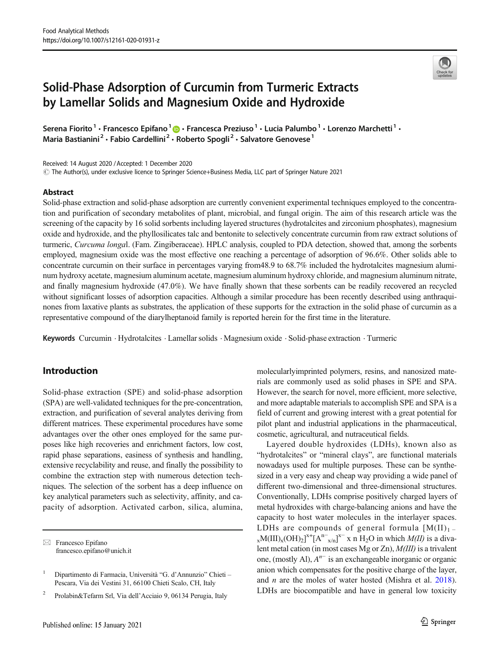# Solid-Phase Adsorption of Curcumin from Turmeric Extracts by Lamellar Solids and Magnesium Oxide and Hydroxide

Serena Fiorito<sup>1</sup> • Francesco Epifano<sup>1</sup>  $\bigcirc$  • Francesca Preziuso<sup>1</sup> • Lucia Palumbo<sup>1</sup> • Lorenzo Marchetti<sup>1</sup> • Maria Bastianini<sup>2</sup> · Fabio Cardellini<sup>2</sup> · Roberto Spogli<sup>2</sup> · Salvatore Genovese<sup>1</sup>

Received: 14 August 2020 /Accepted: 1 December 2020

 $\degree$  The Author(s), under exclusive licence to Springer Science+Business Media, LLC part of Springer Nature 2021

#### Abstract

Solid-phase extraction and solid-phase adsorption are currently convenient experimental techniques employed to the concentration and purification of secondary metabolites of plant, microbial, and fungal origin. The aim of this research article was the screening of the capacity by 16 solid sorbents including layered structures (hydrotalcites and zirconium phosphates), magnesium oxide and hydroxide, and the phyllosilicates talc and bentonite to selectively concentrate curcumin from raw extract solutions of turmeric, Curcuma longal. (Fam. Zingiberaceae). HPLC analysis, coupled to PDA detection, showed that, among the sorbents employed, magnesium oxide was the most effective one reaching a percentage of adsorption of 96.6%. Other solids able to concentrate curcumin on their surface in percentages varying from48.9 to 68.7% included the hydrotalcites magnesium aluminum hydroxy acetate, magnesium aluminum acetate, magnesium aluminum hydroxy chloride, and magnesium aluminum nitrate, and finally magnesium hydroxide (47.0%). We have finally shown that these sorbents can be readily recovered an recycled without significant losses of adsorption capacities. Although a similar procedure has been recently described using anthraquinones from laxative plants as substrates, the application of these supports for the extraction in the solid phase of curcumin as a representative compound of the diarylheptanoid family is reported herein for the first time in the literature.

Keywords Curcumin . Hydrotalcites . Lamellar solids . Magnesium oxide . Solid-phase extraction . Turmeric

# Introduction

Solid-phase extraction (SPE) and solid-phase adsorption (SPA) are well-validated techniques for the pre-concentration, extraction, and purification of several analytes deriving from different matrices. These experimental procedures have some advantages over the other ones employed for the same purposes like high recoveries and enrichment factors, low cost, rapid phase separations, easiness of synthesis and handling, extensive recyclability and reuse, and finally the possibility to combine the extraction step with numerous detection techniques. The selection of the sorbent has a deep influence on key analytical parameters such as selectivity, affinity, and capacity of adsorption. Activated carbon, silica, alumina,

 $\boxtimes$  Francesco Epifano francesco.epifano@unich.it molecularlyimprinted polymers, resins, and nanosized materials are commonly used as solid phases in SPE and SPA. However, the search for novel, more efficient, more selective, and more adaptable materials to accomplish SPE and SPA is a field of current and growing interest with a great potential for pilot plant and industrial applications in the pharmaceutical, cosmetic, agricultural, and nutraceutical fields.

Layered double hydroxides (LDHs), known also as "hydrotalcites" or "mineral clays", are functional materials nowadays used for multiple purposes. These can be synthesized in a very easy and cheap way providing a wide panel of different two-dimensional and three-dimensional structures. Conventionally, LDHs comprise positively charged layers of metal hydroxides with charge-balancing anions and have the capacity to host water molecules in the interlayer spaces. LDHs are compounds of general formula  $[M(II)]_{1}$  –  $_{\text{x}}$ M(III)<sub>x</sub>(OH)<sub>2</sub>]<sup>x+</sup>[A<sup>n-</sup><sub>x/n</sub>]<sup>x-</sup> x n H<sub>2</sub>O in which *M(II)* is a divalent metal cation (in most cases Mg or Zn), M(III) is a trivalent one, (mostly Al),  $A^{n-}$  is an exchangeable inorganic or organic anion which compensates for the positive charge of the layer, and n are the moles of water hosted (Mishra et al. [2018\)](#page-5-0). LDHs are biocompatible and have in general low toxicity



<sup>1</sup> Dipartimento di Farmacia, Università "G. d'Annunzio" Chieti – Pescara, Via dei Vestini 31, 66100 Chieti Scalo, CH, Italy

<sup>2</sup> Prolabin&Tefarm Srl, Via dell'Acciaio 9, 06134 Perugia, Italy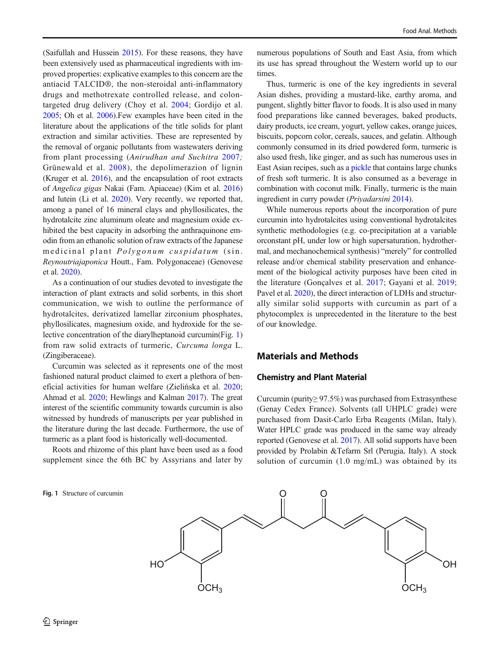(Saifullah and Hussein [2015](#page-5-0)). For these reasons, they have been extensively used as pharmaceutical ingredients with improved properties: explicative examples to this concern are the antiacid TALCID®, the non-steroidal anti-inflammatory drugs and methotrexate controlled release, and colontargeted drug delivery (Choy et al. [2004;](#page-5-0) Gordijo et al. [2005;](#page-5-0) Oh et al. [2006\)](#page-5-0).Few examples have been cited in the literature about the applications of the title solids for plant extraction and similar activities. These are represented by the removal of organic pollutants from wastewaters deriving from plant processing (Anirudhan and Suchitra [2007](#page-5-0); Grünewald et al. [2008](#page-5-0)), the depolimerazion of lignin (Kruger et al. [2016\)](#page-5-0), and the encapsulation of root extracts of Angelica gigas Nakai (Fam. Apiaceae) (Kim et al. [2016\)](#page-5-0) and lutein (Li et al. [2020\)](#page-5-0). Very recently, we reported that, among a panel of 16 mineral clays and phyllosilicates, the hydrotalcite zinc aluminum oleate and magnesium oxide exhibited the best capacity in adsorbing the anthraquinone emodin from an ethanolic solution of raw extracts of the Japanese medicinal plant Polygonum cuspidatum (sin. Reynoutriajaponica Houtt., Fam. Polygonaceae) (Genovese et al. [2020](#page-5-0)).

As a continuation of our studies devoted to investigate the interaction of plant extracts and solid sorbents, in this short communication, we wish to outline the performance of hydrotalcites, derivatized lamellar zirconium phosphates, phyllosilicates, magnesium oxide, and hydroxide for the selective concentration of the diarylheptanoid curcumin(Fig. 1) from raw solid extracts of turmeric, Curcuma longa L. (Zingiberaceae).

Curcumin was selected as it represents one of the most fashioned natural product claimed to exert a plethora of beneficial activities for human welfare (Zielińska et al. [2020](#page-6-0); Ahmad et al. [2020](#page-5-0); Hewlings and Kalman [2017\)](#page-5-0). The great interest of the scientific community towards curcumin is also witnessed by hundreds of manuscripts per year published in the literature during the last decade. Furthermore, the use of turmeric as a plant food is historically well-documented.

Roots and rhizome of this plant have been used as a food supplement since the 6th BC by Assyrians and later by

Fig. 1 Structure of curcumin

numerous populations of South and East Asia, from which its use has spread throughout the Western world up to our times.

Thus, turmeric is one of the key ingredients in several Asian dishes, providing a mustard-like, earthy aroma, and pungent, slightly bitter flavor to foods. It is also used in many food preparations like canned beverages, baked products, dairy products, ice cream, yogurt, yellow cakes, orange juices, biscuits, popcorn color, cereals, sauces, and gelatin. Although commonly consumed in its dried powdered form, turmeric is also used fresh, like ginger, and as such has numerous uses in East Asian recipes, such as a pickle that contains large chunks of fresh soft turmeric. It is also consumed as a beverage in combination with coconut milk. Finally, turmeric is the main ingredient in curry powder (Priyadarsini [2014](#page-5-0)).

While numerous reports about the incorporation of pure curcumin into hydrotalcites using conventional hydrotalcites synthetic methodologies (e.g. co-precipitation at a variable orconstant pH, under low or high supersaturation, hydrothermal, and mechanochemical synthesis) "merely" for controlled release and/or chemical stability preservation and enhancement of the biological activity purposes have been cited in the literature (Gonçalves et al. [2017;](#page-5-0) Gayani et al. [2019;](#page-5-0) Pavel et al. [2020](#page-5-0)), the direct interaction of LDHs and structurally similar solid supports with curcumin as part of a phytocomplex is unprecedented in the literature to the best of our knowledge.

# Materials and Methods

#### Chemistry and Plant Material

Curcumin (purity≥ 97.5%) was purchased from Extrasynthese (Genay Cedex France). Solvents (all UHPLC grade) were purchased from Dasit-Carlo Erba Reagents (Milan, Italy). Water HPLC grade was produced in the same way already reported (Genovese et al. [2017](#page-5-0)). All solid supports have been provided by Prolabin &Tefarm Srl (Perugia, Italy). A stock solution of curcumin (1.0 mg/mL) was obtained by its

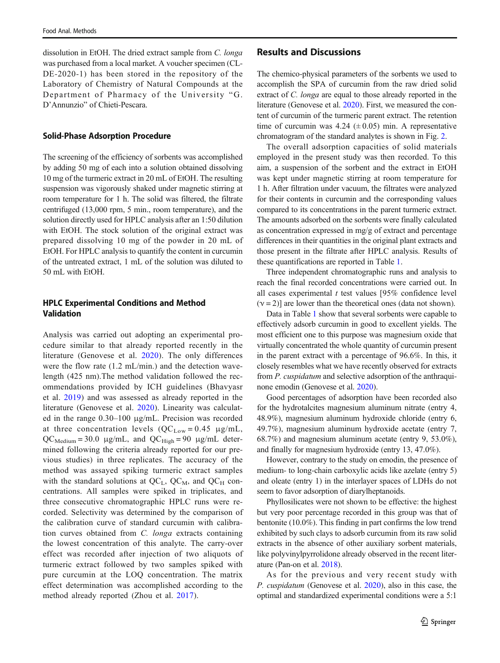dissolution in EtOH. The dried extract sample from C. longa was purchased from a local market. A voucher specimen (CL-DE-2020-1) has been stored in the repository of the Laboratory of Chemistry of Natural Compounds at the Department of Pharmacy of the University "G. D'Annunzio" of Chieti-Pescara.

#### Solid-Phase Adsorption Procedure

The screening of the efficiency of sorbents was accomplished by adding 50 mg of each into a solution obtained dissolving 10 mg of the turmeric extract in 20 mL of EtOH. The resulting suspension was vigorously shaked under magnetic stirring at room temperature for 1 h. The solid was filtered, the filtrate centrifuged (13,000 rpm, 5 min., room temperature), and the solution directly used for HPLC analysis after an 1:50 dilution with EtOH. The stock solution of the original extract was prepared dissolving 10 mg of the powder in 20 mL of EtOH. For HPLC analysis to quantify the content in curcumin of the untreated extract, 1 mL of the solution was diluted to 50 mL with EtOH.

# HPLC Experimental Conditions and Method Validation

Analysis was carried out adopting an experimental procedure similar to that already reported recently in the literature (Genovese et al. [2020](#page-5-0)). The only differences were the flow rate (1.2 mL/min.) and the detection wavelength (425 nm).The method validation followed the recommendations provided by ICH guidelines (Bhavyasr et al. [2019\)](#page-5-0) and was assessed as already reported in the literature (Genovese et al. [2020](#page-5-0)). Linearity was calculated in the range 0.30–100 μg/mL. Precision was recorded at three concentration levels  $(QC_{Low} = 0.45 \mu g/mL)$ ,  $QC_{\text{Median}} = 30.0 \text{ µg/mL}$ , and  $QC_{\text{High}} = 90 \text{ µg/mL}$  determined following the criteria already reported for our previous studies) in three replicates. The accuracy of the method was assayed spiking turmeric extract samples with the standard solutions at  $QC_L$ ,  $QC_M$ , and  $QC_H$  concentrations. All samples were spiked in triplicates, and three consecutive chromatographic HPLC runs were recorded. Selectivity was determined by the comparison of the calibration curve of standard curcumin with calibration curves obtained from C. longa extracts containing the lowest concentration of this analyte. The carry-over effect was recorded after injection of two aliquots of turmeric extract followed by two samples spiked with pure curcumin at the LOQ concentration. The matrix effect determination was accomplished according to the method already reported (Zhou et al. [2017\)](#page-6-0).

# Results and Discussions

The chemico-physical parameters of the sorbents we used to accomplish the SPA of curcumin from the raw dried solid extract of C. *longa* are equal to those already reported in the literature (Genovese et al. [2020](#page-5-0)). First, we measured the content of curcumin of the turmeric parent extract. The retention time of curcumin was  $4.24 \ (\pm 0.05)$  min. A representative chromatogram of the standard analytes is shown in Fig. [2](#page-3-0).

The overall adsorption capacities of solid materials employed in the present study was then recorded. To this aim, a suspension of the sorbent and the extract in EtOH was kept under magnetic stirring at room temperature for 1 h. After filtration under vacuum, the filtrates were analyzed for their contents in curcumin and the corresponding values compared to its concentrations in the parent turmeric extract. The amounts adsorbed on the sorbents were finally calculated as concentration expressed in mg/g of extract and percentage differences in their quantities in the original plant extracts and those present in the filtrate after HPLC analysis. Results of these quantifications are reported in Table [1](#page-3-0).

Three independent chromatographic runs and analysis to reach the final recorded concentrations were carried out. In all cases experimental  $t$  test values [95% confidence level]  $(\gamma = 2)$ ] are lower than the theoretical ones (data not shown).

Data in Table [1](#page-3-0) show that several sorbents were capable to effectively adsorb curcumin in good to excellent yields. The most efficient one to this purpose was magnesium oxide that virtually concentrated the whole quantity of curcumin present in the parent extract with a percentage of 96.6%. In this, it closely resembles what we have recently observed for extracts from *P. cuspidatum* and selective adsorption of the anthraquinone emodin (Genovese et al. [2020\)](#page-5-0).

Good percentages of adsorption have been recorded also for the hydrotalcites magnesium aluminum nitrate (entry 4, 48.9%), magnesium aluminum hydroxide chloride (entry 6, 49.7%), magnesium aluminum hydroxide acetate (entry 7, 68.7%) and magnesium aluminum acetate (entry 9, 53.0%), and finally for magnesium hydroxide (entry 13, 47.0%).

However, contrary to the study on emodin, the presence of medium- to long-chain carboxylic acids like azelate (entry 5) and oleate (entry 1) in the interlayer spaces of LDHs do not seem to favor adsorption of diarylheptanoids.

Phyllosilicates were not shown to be effective: the highest but very poor percentage recorded in this group was that of bentonite (10.0%). This finding in part confirms the low trend exhibited by such clays to adsorb curcumin from its raw solid extracts in the absence of other auxiliary sorbent materials, like polyvinylpyrrolidone already observed in the recent literature (Pan-on et al. [2018](#page-5-0)).

As for the previous and very recent study with P. cuspidatum (Genovese et al. [2020\)](#page-5-0), also in this case, the optimal and standardized experimental conditions were a 5:1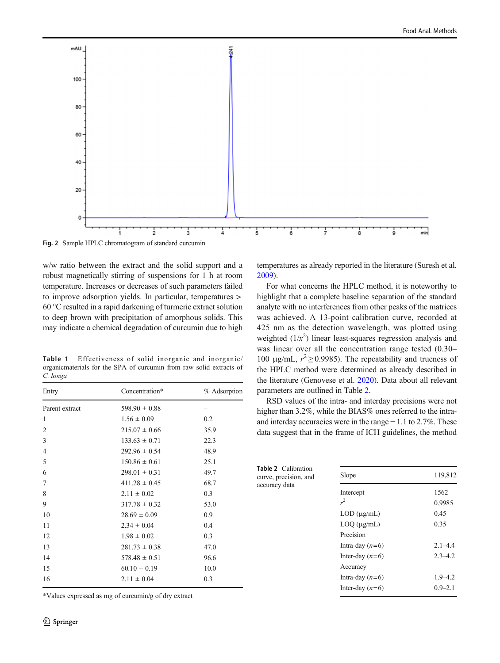<span id="page-3-0"></span>

w/w ratio between the extract and the solid support and a robust magnetically stirring of suspensions for 1 h at room temperature. Increases or decreases of such parameters failed to improve adsorption yields. In particular, temperatures > 60 °C resulted in a rapid darkening of turmeric extract solution to deep brown with precipitation of amorphous solids. This may indicate a chemical degradation of curcumin due to high

Table 1 Effectiveness of solid inorganic and inorganic/ organicmaterials for the SPA of curcumin from raw solid extracts of C. longa

| Entry          | Concentration*    | % Adsorption |
|----------------|-------------------|--------------|
| Parent extract | $598.90 \pm 0.88$ |              |
| 1              | $1.56 \pm 0.09$   | 0.2          |
| 2              | $215.07 \pm 0.66$ | 35.9         |
| 3              | $133.63 \pm 0.71$ | 22.3         |
| $\overline{4}$ | $292.96 \pm 0.54$ | 48.9         |
| 5              | $150.86 \pm 0.61$ | 25.1         |
| 6              | $298.01 \pm 0.31$ | 49.7         |
| 7              | $411.28 \pm 0.45$ | 68.7         |
| 8              | $2.11 \pm 0.02$   | 0.3          |
| 9              | $317.78 \pm 0.32$ | 53.0         |
| 10             | $28.69 \pm 0.09$  | 0.9          |
| 11             | $2.34 \pm 0.04$   | 0.4          |
| 12             | $1.98 \pm 0.02$   | 0.3          |
| 13             | $281.73 \pm 0.38$ | 47.0         |
| 14             | $578.48 \pm 0.51$ | 96.6         |
| 15             | $60.10 \pm 0.19$  | 10.0         |
| 16             | $2.11 \pm 0.04$   | 0.3          |
|                |                   |              |

\*Values expressed as mg of curcumin/g of dry extract

temperatures as already reported in the literature (Suresh et al. [2009\)](#page-6-0).

For what concerns the HPLC method, it is noteworthy to highlight that a complete baseline separation of the standard analyte with no interferences from other peaks of the matrices was achieved. A 13-point calibration curve, recorded at 425 nm as the detection wavelength, was plotted using weighted  $(1/x^2)$  linear least-squares regression analysis and was linear over all the concentration range tested (0.30– 100 μg/mL,  $r^2 \ge 0.9985$ ). The repeatability and trueness of the HPLC method were determined as already described in the literature (Genovese et al. [2020\)](#page-5-0). Data about all relevant parameters are outlined in Table 2.

RSD values of the intra- and interday precisions were not higher than 3.2%, while the BIAS% ones referred to the intraand interday accuracies were in the range − 1.1 to 2.7%. These data suggest that in the frame of ICH guidelines, the method

| <b>Table 2</b> Calibration<br>curve, precision, and<br>accuracy data | Slope               | 119,812        |
|----------------------------------------------------------------------|---------------------|----------------|
|                                                                      | Intercept<br>$r^2$  | 1562<br>0.9985 |
|                                                                      | $LOD$ ( $\mu$ g/mL) | 0.45           |
|                                                                      | $LOQ$ ( $\mu$ g/mL) | 0.35           |
|                                                                      | Precision           |                |
|                                                                      | Intra-day $(n=6)$   | $2.1 - 4.4$    |
|                                                                      | Inter-day $(n=6)$   | $2.3 - 4.2$    |
|                                                                      | Accuracy            |                |
|                                                                      | Intra-day $(n=6)$   | $1.9 - 4.2$    |
|                                                                      | Inter-day $(n=6)$   | $0.9 - 2.1$    |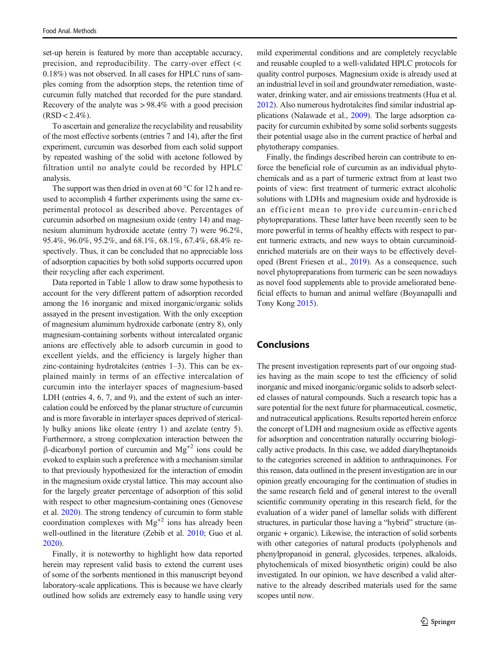set-up herein is featured by more than acceptable accuracy, precision, and reproducibility. The carry-over effect (< 0.18%) was not observed. In all cases for HPLC runs of samples coming from the adsorption steps, the retention time of curcumin fully matched that recorded for the pure standard. Recovery of the analyte was > 98.4% with a good precision  $(RSD < 2.4\%).$ 

To ascertain and generalize the recyclability and reusability of the most effective sorbents (entries 7 and 14), after the first experiment, curcumin was desorbed from each solid support by repeated washing of the solid with acetone followed by filtration until no analyte could be recorded by HPLC analysis.

The support was then dried in oven at 60 °C for 12 h and reused to accomplish 4 further experiments using the same experimental protocol as described above. Percentages of curcumin adsorbed on magnesium oxide (entry 14) and magnesium aluminum hydroxide acetate (entry 7) were 96.2%, 95.4%, 96.0%, 95.2%, and 68.1%, 68.1%, 67.4%, 68.4% respectively. Thus, it can be concluded that no appreciable loss of adsorption capacities by both solid supports occurred upon their recycling after each experiment.

Data reported in Table [1](#page-3-0) allow to draw some hypothesis to account for the very different pattern of adsorption recorded among the 16 inorganic and mixed inorganic/organic solids assayed in the present investigation. With the only exception of magnesium aluminum hydroxide carbonate (entry 8), only magnesium-containing sorbents without intercalated organic anions are effectively able to adsorb curcumin in good to excellent yields, and the efficiency is largely higher than zinc-containing hydrotalcites (entries 1–3). This can be explained mainly in terms of an effective intercalation of curcumin into the interlayer spaces of magnesium-based LDH (entries 4, 6, 7, and 9), and the extent of such an intercalation could be enforced by the planar structure of curcumin and is more favorable in interlayer spaces deprived of sterically bulky anions like oleate (entry 1) and azelate (entry 5). Furthermore, a strong complexation interaction between the β-dicarbonyl portion of curcumin and  $Mg<sup>+2</sup>$  ions could be evoked to explain such a preference with a mechanism similar to that previously hypothesized for the interaction of emodin in the magnesium oxide crystal lattice. This may account also for the largely greater percentage of adsorption of this solid with respect to other magnesium-containing ones (Genovese et al. [2020\)](#page-5-0). The strong tendency of curcumin to form stable coordination complexes with  $Mg^{2}$  ions has already been well-outlined in the literature (Zebib et al. [2010;](#page-6-0) Guo et al. [2020\)](#page-5-0).

Finally, it is noteworthy to highlight how data reported herein may represent valid basis to extend the current uses of some of the sorbents mentioned in this manuscript beyond laboratory-scale applications. This is because we have clearly outlined how solids are extremely easy to handle using very mild experimental conditions and are completely recyclable and reusable coupled to a well-validated HPLC protocols for quality control purposes. Magnesium oxide is already used at an industrial level in soil and groundwater remediation, wastewater, drinking water, and air emissions treatments (Hua et al. [2012\)](#page-5-0). Also numerous hydrotalcites find similar industrial applications (Nalawade et al., [2009\)](#page-5-0). The large adsorption capacity for curcumin exhibited by some solid sorbents suggests their potential usage also in the current practice of herbal and phytotherapy companies.

Finally, the findings described herein can contribute to enforce the beneficial role of curcumin as an individual phytochemicals and as a part of turmeric extract from at least two points of view: first treatment of turmeric extract alcoholic solutions with LDHs and magnesium oxide and hydroxide is an efficient mean to provide curcumin-enriched phytopreparations. These latter have been recently seen to be more powerful in terms of healthy effects with respect to parent turmeric extracts, and new ways to obtain curcuminoidenriched materials are on their ways to be effectively developed (Brent Friesen et al., [2019](#page-5-0)). As a consequence, such novel phytopreparations from turmeric can be seen nowadays as novel food supplements able to provide ameliorated beneficial effects to human and animal welfare (Boyanapalli and Tony Kong [2015](#page-5-0)).

## Conclusions

The present investigation represents part of our ongoing studies having as the main scope to test the efficiency of solid inorganic and mixed inorganic/organic solids to adsorb selected classes of natural compounds. Such a research topic has a sure potential for the next future for pharmaceutical, cosmetic, and nutraceutical applications. Results reported herein enforce the concept of LDH and magnesium oxide as effective agents for adsorption and concentration naturally occurring biologically active products. In this case, we added diarylheptanoids to the categories screened in addition to anthraquinones. For this reason, data outlined in the present investigation are in our opinion greatly encouraging for the continuation of studies in the same research field and of general interest to the overall scientific community operating in this research field, for the evaluation of a wider panel of lamellar solids with different structures, in particular those having a "hybrid" structure (inorganic + organic). Likewise, the interaction of solid sorbents with other categories of natural products (polyphenols and phenylpropanoid in general, glycosides, terpenes, alkaloids, phytochemicals of mixed biosynthetic origin) could be also investigated. In our opinion, we have described a valid alternative to the already described materials used for the same scopes until now.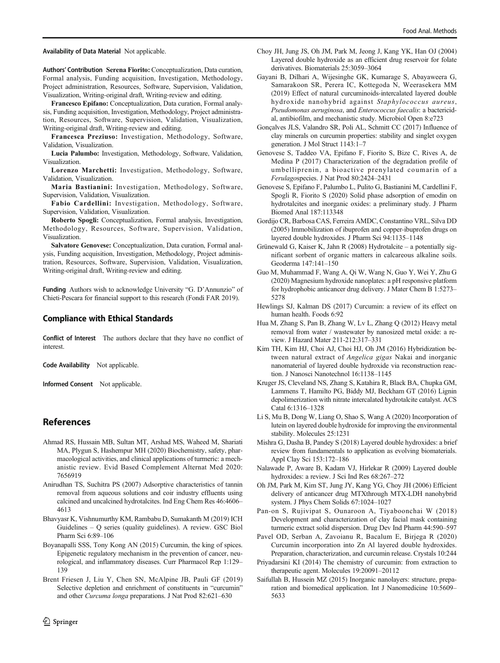#### <span id="page-5-0"></span>Availability of Data Material Not applicable.

Authors' Contribution Serena Fiorito: Conceptualization, Data curation, Formal analysis, Funding acquisition, Investigation, Methodology, Project administration, Resources, Software, Supervision, Validation, Visualization, Writing-original draft, Writing-review and editing.

Francesco Epifano: Conceptualization, Data curation, Formal analysis, Funding acquisition, Investigation, Methodology, Project administration, Resources, Software, Supervision, Validation, Visualization, Writing-original draft, Writing-review and editing.

Francesca Preziuso: Investigation, Methodology, Software, Validation, Visualization.

Lucia Palumbo: Investigation, Methodology, Software, Validation, Visualization.

Lorenzo Marchetti: Investigation, Methodology, Software, Validation, Visualization.

Maria Bastianini: Investigation, Methodology, Software, Supervision, Validation, Visualization.

Fabio Cardellini: Investigation, Methodology, Software, Supervision, Validation, Visualization.

Roberto Spogli: Conceptualization, Formal analysis, Investigation, Methodology, Resources, Software, Supervision, Validation, Visualization.

Salvatore Genovese: Conceptualization, Data curation, Formal analysis, Funding acquisition, Investigation, Methodology, Project administration, Resources, Software, Supervision, Validation, Visualization, Writing-original draft, Writing-review and editing.

Funding Authors wish to acknowledge University "G. D'Annunzio" of Chieti-Pescara for financial support to this research (Fondi FAR 2019).

#### Compliance with Ethical Standards

Conflict of Interest The authors declare that they have no conflict of interest.

Code Availability Not applicable.

Informed Consent Not applicable.

### References

- Ahmad RS, Hussain MB, Sultan MT, Arshad MS, Waheed M, Shariati MA, Plygun S, Hashempur MH (2020) Biochemistry, safety, pharmacological activities, and clinical applications of turmeric: a mechanistic review. Evid Based Complement Alternat Med 2020: 7656919
- Anirudhan TS, Suchitra PS (2007) Adsorptive characteristics of tannin removal from aqueous solutions and coir industry effluents using calcined and uncalcined hydrotalcites. Ind Eng Chem Res 46:4606– 4613
- Bhavyasr K, Vishnumurthy KM, Rambabu D, Sumakanth M (2019) ICH Guidelines – Q series (quality guidelines). A review. GSC Biol Pharm Sci 6:89–106
- Boyanapalli SSS, Tony Kong AN (2015) Curcumin, the king of spices. Epigenetic regulatory mechanism in the prevention of cancer, neurological, and inflammatory diseases. Curr Pharmacol Rep 1:129– 139
- Brent Friesen J, Liu Y, Chen SN, McAlpine JB, Pauli GF (2019) Selective depletion and enrichment of constituents in "curcumin" and other Curcuma longa preparations. J Nat Prod 82:621–630
- Choy JH, Jung JS, Oh JM, Park M, Jeong J, Kang YK, Han OJ (2004) Layered double hydroxide as an efficient drug reservoir for folate derivatives. Biomaterials 25:3059–3064
- Gayani B, Dilhari A, Wijesinghe GK, Kumarage S, Abayaweera G, Samarakoon SR, Perera IC, Kottegoda N, Weerasekera MM (2019) Effect of natural curcuminoids-intercalated layered double hydroxide nanohybrid against Staphylococcus aureus, Pseudomonas aeruginosa, and Enterococcus faecalis: a bactericidal, antibiofilm, and mechanistic study. Microbiol Open 8:e723

Gonçalves JLS, Valandro SR, Poli AL, Schmitt CC (2017) Influence of clay minerals on curcumin properties: stability and singlet oxygen generation. J Mol Struct 1143:1–7

- Genovese S, Taddeo VA, Epifano F, Fiorito S, Bize C, Rives A, de Medina P (2017) Characterization of the degradation profile of umbelliprenin, a bioactive prenylated coumarin of a Ferulagospecies. J Nat Prod 80:2424–2431
- Genovese S, Epifano F, Palumbo L, Pulito G, Bastianini M, Cardellini F, Spogli R, Fiorito S (2020) Solid phase adsorption of emodin on hydrotalcites and inorganic oxides: a preliminary study. J Pharm Biomed Anal 187:113348
- Gordijo CR, Barbosa CAS, Ferreira AMDC, Constantino VRL, Silva DD (2005) Immobilization of ibuprofen and copper-ibuprofen drugs on layered double hydroxides. J Pharm Sci 94:1135–1148
- Grünewald G, Kaiser K, Jahn R (2008) Hydrotalcite a potentially significant sorbent of organic matters in calcareous alkaline soils. Geoderma 147:141–150
- Guo M, Muhammad F, Wang A, Qi W, Wang N, Guo Y, Wei Y, Zhu G (2020) Magnesium hydroxide nanoplates: a pH responsive platform for hydrophobic anticancer drug delivery. J Mater Chem B 1:5273– 5278
- Hewlings SJ, Kalman DS (2017) Curcumin: a review of its effect on human health. Foods 6:92
- Hua M, Zhang S, Pan B, Zhang W, Lv L, Zhang Q (2012) Heavy metal removal from water / wastewater by nanosized metal oxide: a review. J Hazard Mater 211-212:317–331
- Kim TH, Kim HJ, Choi AJ, Choi HJ, Oh JM (2016) Hybridization between natural extract of Angelica gigas Nakai and inorganic nanomaterial of layered double hydroxide via reconstruction reaction. J Nanosci Nanotechnol 16:1138–1145
- Kruger JS, Cleveland NS, Zhang S, Katahira R, Black BA, Chupka GM, Lammens T, Hamilto PG, Biddy MJ, Beckham GT (2016) Lignin depolimerization with nitrate intercalated hydrotalcite catalyst. ACS Catal 6:1316–1328
- Li S, Mu B, Dong W, Liang O, Shao S, Wang A (2020) Incorporation of lutein on layered double hydroxide for improving the environmental stability. Molecules 25:1231
- Mishra G, Dasha B, Pandey S (2018) Layered double hydroxides: a brief review from fundamentals to application as evolving biomaterials. Appl Clay Sci 153:172–186
- Nalawade P, Aware B, Kadam VJ, Hirlekar R (2009) Layered double hydroxides: a review. J Sci Ind Res 68:267–272
- Oh JM, Park M, Kim ST, Jung JY, Kang YG, Choy JH (2006) Efficient delivery of anticancer drug MTXthrough MTX-LDH nanohybrid system. J Phys Chem Solids 67:1024–1027
- Pan-on S, Rujivipat S, Ounaroon A, Tiyaboonchai W (2018) Development and characterization of clay facial mask containing turmeric extract solid dispersion. Drug Dev Ind Pharm 44:590–597
- Pavel OD, Serban A, Zavoianu R, Bacalum E, Birjega R (2020) Curcumin incorporation into Zn Al layered double hydroxides. Preparation, characterization, and curcumin release. Crystals 10:244
- Priyadarsini KI (2014) The chemistry of curcumin: from extraction to therapeutic agent. Molecules 19:20091–20112
- Saifullah B, Hussein MZ (2015) Inorganic nanolayers: structure, preparation and biomedical application. Int J Nanomedicine 10:5609– 5633